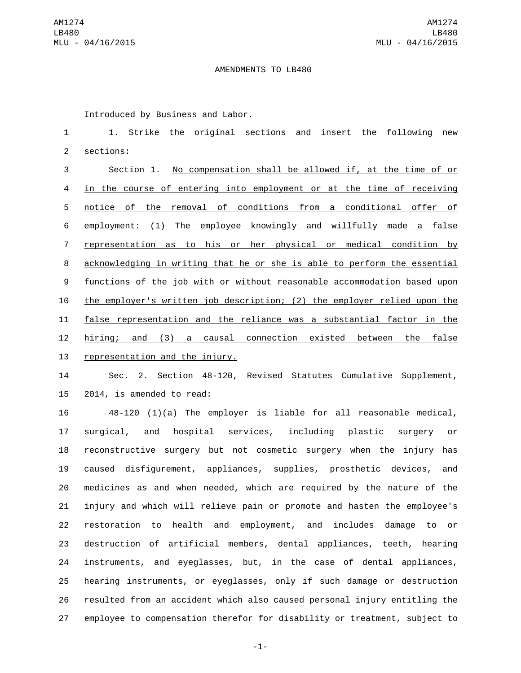## AMENDMENTS TO LB480

Introduced by Business and Labor.

 1. Strike the original sections and insert the following new 2 sections:

 Section 1. No compensation shall be allowed if, at the time of or in the course of entering into employment or at the time of receiving notice of the removal of conditions from a conditional offer of employment: (1) The employee knowingly and willfully made a false representation as to his or her physical or medical condition by acknowledging in writing that he or she is able to perform the essential functions of the job with or without reasonable accommodation based upon the employer's written job description; (2) the employer relied upon the false representation and the reliance was a substantial factor in the hiring; and (3) a causal connection existed between the false 13 representation and the injury.

 Sec. 2. Section 48-120, Revised Statutes Cumulative Supplement, 15 2014, is amended to read:

 48-120 (1)(a) The employer is liable for all reasonable medical, surgical, and hospital services, including plastic surgery or reconstructive surgery but not cosmetic surgery when the injury has caused disfigurement, appliances, supplies, prosthetic devices, and medicines as and when needed, which are required by the nature of the injury and which will relieve pain or promote and hasten the employee's restoration to health and employment, and includes damage to or destruction of artificial members, dental appliances, teeth, hearing instruments, and eyeglasses, but, in the case of dental appliances, hearing instruments, or eyeglasses, only if such damage or destruction resulted from an accident which also caused personal injury entitling the employee to compensation therefor for disability or treatment, subject to

-1-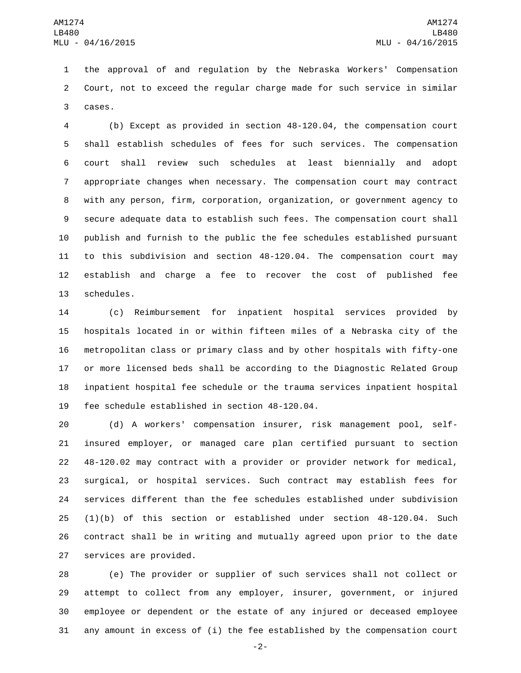the approval of and regulation by the Nebraska Workers' Compensation Court, not to exceed the regular charge made for such service in similar 3 cases.

 (b) Except as provided in section 48-120.04, the compensation court shall establish schedules of fees for such services. The compensation court shall review such schedules at least biennially and adopt appropriate changes when necessary. The compensation court may contract with any person, firm, corporation, organization, or government agency to secure adequate data to establish such fees. The compensation court shall publish and furnish to the public the fee schedules established pursuant to this subdivision and section 48-120.04. The compensation court may establish and charge a fee to recover the cost of published fee 13 schedules.

 (c) Reimbursement for inpatient hospital services provided by hospitals located in or within fifteen miles of a Nebraska city of the metropolitan class or primary class and by other hospitals with fifty-one or more licensed beds shall be according to the Diagnostic Related Group inpatient hospital fee schedule or the trauma services inpatient hospital 19 fee schedule established in section 48-120.04.

 (d) A workers' compensation insurer, risk management pool, self- insured employer, or managed care plan certified pursuant to section 48-120.02 may contract with a provider or provider network for medical, surgical, or hospital services. Such contract may establish fees for services different than the fee schedules established under subdivision (1)(b) of this section or established under section 48-120.04. Such contract shall be in writing and mutually agreed upon prior to the date 27 services are provided.

 (e) The provider or supplier of such services shall not collect or attempt to collect from any employer, insurer, government, or injured employee or dependent or the estate of any injured or deceased employee any amount in excess of (i) the fee established by the compensation court

-2-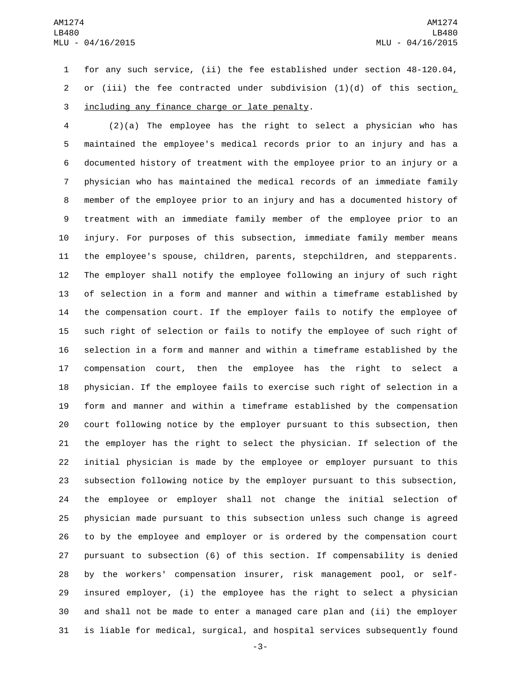for any such service, (ii) the fee established under section 48-120.04, or (iii) the fee contracted under subdivision (1)(d) of this section, 3 including any finance charge or late penalty.

 (2)(a) The employee has the right to select a physician who has maintained the employee's medical records prior to an injury and has a documented history of treatment with the employee prior to an injury or a physician who has maintained the medical records of an immediate family member of the employee prior to an injury and has a documented history of treatment with an immediate family member of the employee prior to an injury. For purposes of this subsection, immediate family member means the employee's spouse, children, parents, stepchildren, and stepparents. The employer shall notify the employee following an injury of such right of selection in a form and manner and within a timeframe established by the compensation court. If the employer fails to notify the employee of such right of selection or fails to notify the employee of such right of selection in a form and manner and within a timeframe established by the compensation court, then the employee has the right to select a physician. If the employee fails to exercise such right of selection in a form and manner and within a timeframe established by the compensation court following notice by the employer pursuant to this subsection, then the employer has the right to select the physician. If selection of the initial physician is made by the employee or employer pursuant to this subsection following notice by the employer pursuant to this subsection, the employee or employer shall not change the initial selection of physician made pursuant to this subsection unless such change is agreed to by the employee and employer or is ordered by the compensation court pursuant to subsection (6) of this section. If compensability is denied by the workers' compensation insurer, risk management pool, or self- insured employer, (i) the employee has the right to select a physician and shall not be made to enter a managed care plan and (ii) the employer is liable for medical, surgical, and hospital services subsequently found

-3-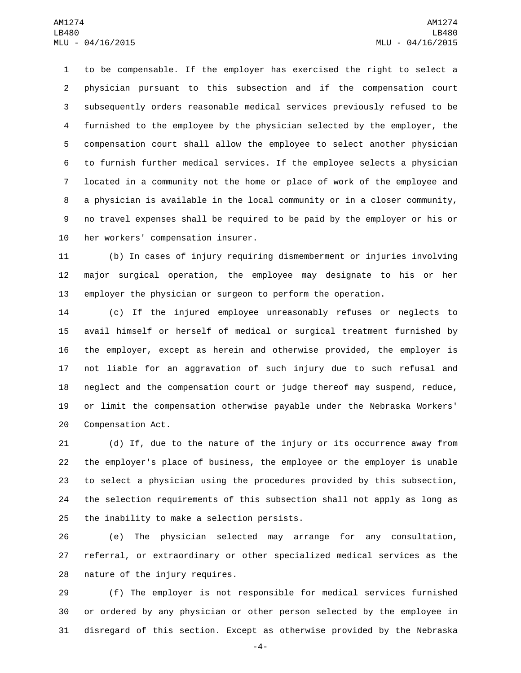to be compensable. If the employer has exercised the right to select a physician pursuant to this subsection and if the compensation court subsequently orders reasonable medical services previously refused to be furnished to the employee by the physician selected by the employer, the compensation court shall allow the employee to select another physician to furnish further medical services. If the employee selects a physician located in a community not the home or place of work of the employee and a physician is available in the local community or in a closer community, no travel expenses shall be required to be paid by the employer or his or 10 her workers' compensation insurer.

 (b) In cases of injury requiring dismemberment or injuries involving major surgical operation, the employee may designate to his or her employer the physician or surgeon to perform the operation.

 (c) If the injured employee unreasonably refuses or neglects to avail himself or herself of medical or surgical treatment furnished by the employer, except as herein and otherwise provided, the employer is not liable for an aggravation of such injury due to such refusal and neglect and the compensation court or judge thereof may suspend, reduce, or limit the compensation otherwise payable under the Nebraska Workers' 20 Compensation Act.

 (d) If, due to the nature of the injury or its occurrence away from the employer's place of business, the employee or the employer is unable to select a physician using the procedures provided by this subsection, the selection requirements of this subsection shall not apply as long as 25 the inability to make a selection persists.

 (e) The physician selected may arrange for any consultation, referral, or extraordinary or other specialized medical services as the 28 nature of the injury requires.

 (f) The employer is not responsible for medical services furnished or ordered by any physician or other person selected by the employee in disregard of this section. Except as otherwise provided by the Nebraska

-4-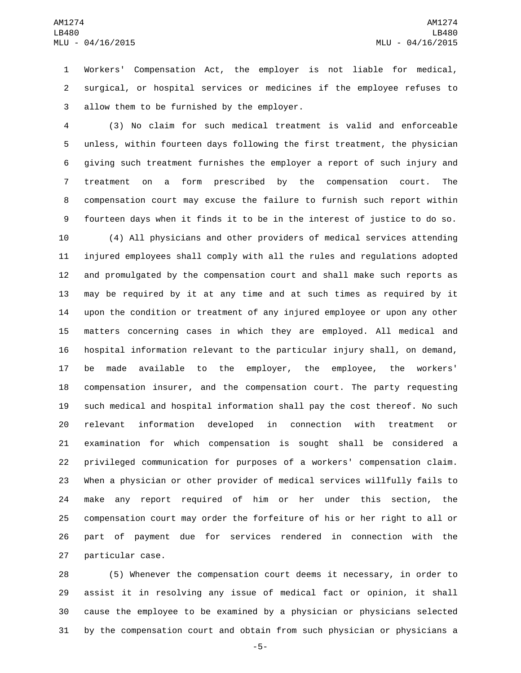Workers' Compensation Act, the employer is not liable for medical, surgical, or hospital services or medicines if the employee refuses to 3 allow them to be furnished by the employer.

 (3) No claim for such medical treatment is valid and enforceable unless, within fourteen days following the first treatment, the physician giving such treatment furnishes the employer a report of such injury and treatment on a form prescribed by the compensation court. The compensation court may excuse the failure to furnish such report within fourteen days when it finds it to be in the interest of justice to do so.

 (4) All physicians and other providers of medical services attending injured employees shall comply with all the rules and regulations adopted and promulgated by the compensation court and shall make such reports as may be required by it at any time and at such times as required by it upon the condition or treatment of any injured employee or upon any other matters concerning cases in which they are employed. All medical and hospital information relevant to the particular injury shall, on demand, be made available to the employer, the employee, the workers' compensation insurer, and the compensation court. The party requesting such medical and hospital information shall pay the cost thereof. No such relevant information developed in connection with treatment or examination for which compensation is sought shall be considered a privileged communication for purposes of a workers' compensation claim. When a physician or other provider of medical services willfully fails to make any report required of him or her under this section, the compensation court may order the forfeiture of his or her right to all or part of payment due for services rendered in connection with the 27 particular case.

 (5) Whenever the compensation court deems it necessary, in order to assist it in resolving any issue of medical fact or opinion, it shall cause the employee to be examined by a physician or physicians selected by the compensation court and obtain from such physician or physicians a

-5-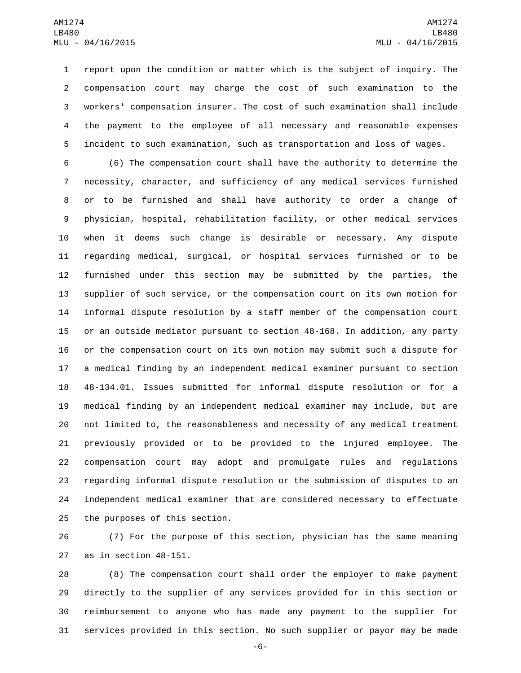report upon the condition or matter which is the subject of inquiry. The compensation court may charge the cost of such examination to the workers' compensation insurer. The cost of such examination shall include the payment to the employee of all necessary and reasonable expenses incident to such examination, such as transportation and loss of wages.

 (6) The compensation court shall have the authority to determine the necessity, character, and sufficiency of any medical services furnished or to be furnished and shall have authority to order a change of physician, hospital, rehabilitation facility, or other medical services when it deems such change is desirable or necessary. Any dispute regarding medical, surgical, or hospital services furnished or to be furnished under this section may be submitted by the parties, the supplier of such service, or the compensation court on its own motion for informal dispute resolution by a staff member of the compensation court or an outside mediator pursuant to section 48-168. In addition, any party or the compensation court on its own motion may submit such a dispute for a medical finding by an independent medical examiner pursuant to section 48-134.01. Issues submitted for informal dispute resolution or for a medical finding by an independent medical examiner may include, but are not limited to, the reasonableness and necessity of any medical treatment previously provided or to be provided to the injured employee. The compensation court may adopt and promulgate rules and regulations regarding informal dispute resolution or the submission of disputes to an independent medical examiner that are considered necessary to effectuate 25 the purposes of this section.

 (7) For the purpose of this section, physician has the same meaning as in section 48-151.

 (8) The compensation court shall order the employer to make payment directly to the supplier of any services provided for in this section or reimbursement to anyone who has made any payment to the supplier for services provided in this section. No such supplier or payor may be made

-6-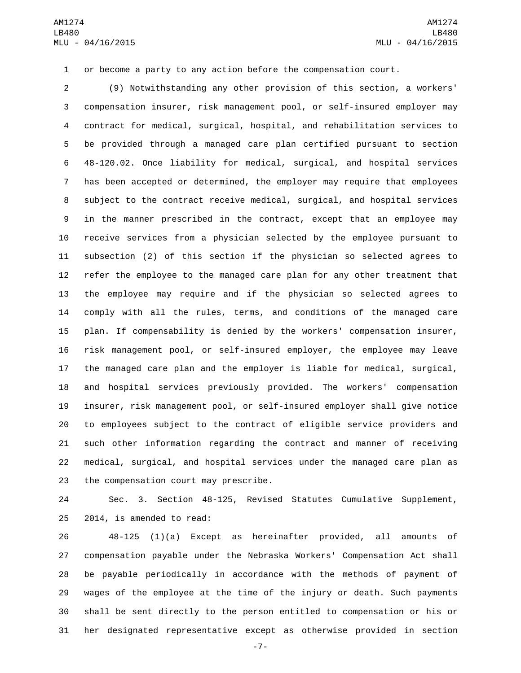or become a party to any action before the compensation court.

 (9) Notwithstanding any other provision of this section, a workers' compensation insurer, risk management pool, or self-insured employer may contract for medical, surgical, hospital, and rehabilitation services to be provided through a managed care plan certified pursuant to section 48-120.02. Once liability for medical, surgical, and hospital services has been accepted or determined, the employer may require that employees subject to the contract receive medical, surgical, and hospital services in the manner prescribed in the contract, except that an employee may receive services from a physician selected by the employee pursuant to subsection (2) of this section if the physician so selected agrees to refer the employee to the managed care plan for any other treatment that the employee may require and if the physician so selected agrees to comply with all the rules, terms, and conditions of the managed care plan. If compensability is denied by the workers' compensation insurer, risk management pool, or self-insured employer, the employee may leave the managed care plan and the employer is liable for medical, surgical, and hospital services previously provided. The workers' compensation insurer, risk management pool, or self-insured employer shall give notice to employees subject to the contract of eligible service providers and such other information regarding the contract and manner of receiving medical, surgical, and hospital services under the managed care plan as 23 the compensation court may prescribe.

 Sec. 3. Section 48-125, Revised Statutes Cumulative Supplement,  $2014$ , is amended to read:

 48-125 (1)(a) Except as hereinafter provided, all amounts of compensation payable under the Nebraska Workers' Compensation Act shall be payable periodically in accordance with the methods of payment of wages of the employee at the time of the injury or death. Such payments shall be sent directly to the person entitled to compensation or his or her designated representative except as otherwise provided in section

-7-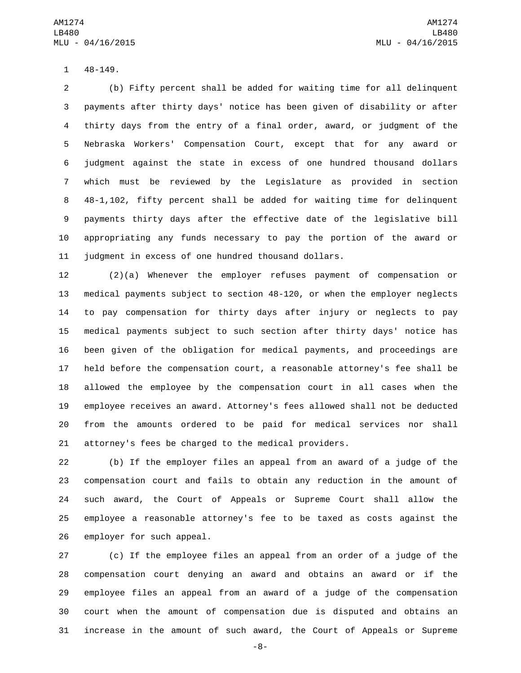1 48-149.

 (b) Fifty percent shall be added for waiting time for all delinquent payments after thirty days' notice has been given of disability or after thirty days from the entry of a final order, award, or judgment of the Nebraska Workers' Compensation Court, except that for any award or judgment against the state in excess of one hundred thousand dollars which must be reviewed by the Legislature as provided in section 48-1,102, fifty percent shall be added for waiting time for delinquent payments thirty days after the effective date of the legislative bill appropriating any funds necessary to pay the portion of the award or judgment in excess of one hundred thousand dollars.

 (2)(a) Whenever the employer refuses payment of compensation or medical payments subject to section 48-120, or when the employer neglects to pay compensation for thirty days after injury or neglects to pay medical payments subject to such section after thirty days' notice has been given of the obligation for medical payments, and proceedings are held before the compensation court, a reasonable attorney's fee shall be allowed the employee by the compensation court in all cases when the employee receives an award. Attorney's fees allowed shall not be deducted from the amounts ordered to be paid for medical services nor shall attorney's fees be charged to the medical providers.

 (b) If the employer files an appeal from an award of a judge of the compensation court and fails to obtain any reduction in the amount of such award, the Court of Appeals or Supreme Court shall allow the employee a reasonable attorney's fee to be taxed as costs against the 26 employer for such appeal.

 (c) If the employee files an appeal from an order of a judge of the compensation court denying an award and obtains an award or if the employee files an appeal from an award of a judge of the compensation court when the amount of compensation due is disputed and obtains an increase in the amount of such award, the Court of Appeals or Supreme

-8-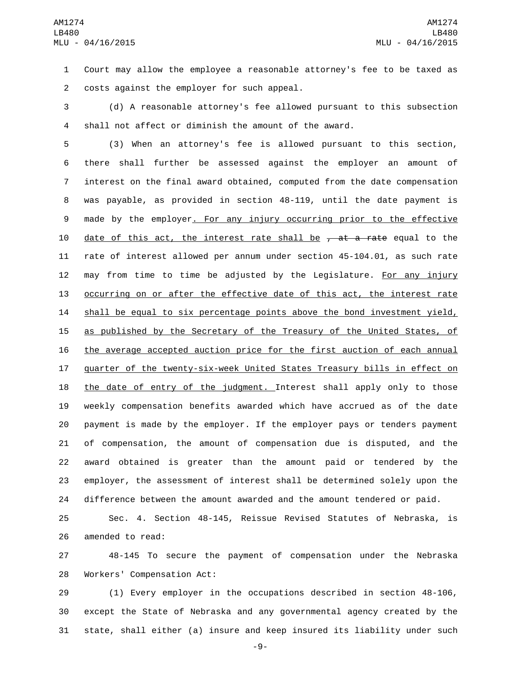Court may allow the employee a reasonable attorney's fee to be taxed as 2 costs against the employer for such appeal.

 (d) A reasonable attorney's fee allowed pursuant to this subsection shall not affect or diminish the amount of the award.

 (3) When an attorney's fee is allowed pursuant to this section, there shall further be assessed against the employer an amount of interest on the final award obtained, computed from the date compensation was payable, as provided in section 48-119, until the date payment is made by the employer. For any injury occurring prior to the effective 10 date of this act, the interest rate shall be  $\tau$  at a rate equal to the rate of interest allowed per annum under section 45-104.01, as such rate 12 may from time to time be adjusted by the Legislature. For any injury occurring on or after the effective date of this act, the interest rate shall be equal to six percentage points above the bond investment yield, 15 as published by the Secretary of the Treasury of the United States, of the average accepted auction price for the first auction of each annual quarter of the twenty-six-week United States Treasury bills in effect on 18 the date of entry of the judgment. Interest shall apply only to those weekly compensation benefits awarded which have accrued as of the date payment is made by the employer. If the employer pays or tenders payment of compensation, the amount of compensation due is disputed, and the award obtained is greater than the amount paid or tendered by the employer, the assessment of interest shall be determined solely upon the difference between the amount awarded and the amount tendered or paid.

 Sec. 4. Section 48-145, Reissue Revised Statutes of Nebraska, is 26 amended to read:

 48-145 To secure the payment of compensation under the Nebraska 28 Workers' Compensation Act:

 (1) Every employer in the occupations described in section 48-106, except the State of Nebraska and any governmental agency created by the state, shall either (a) insure and keep insured its liability under such

-9-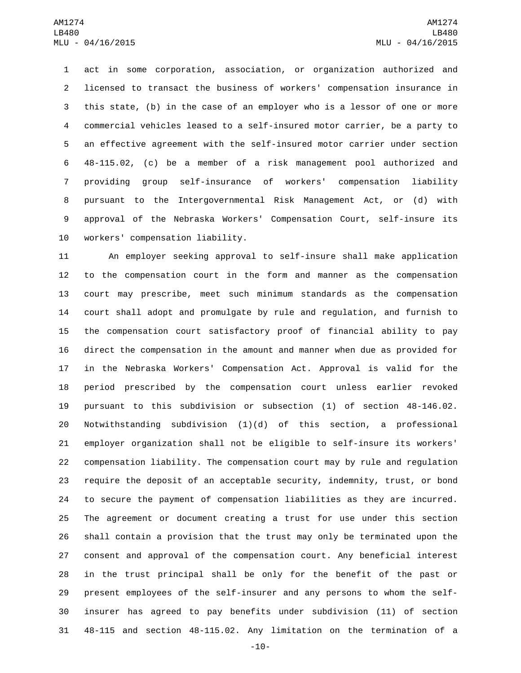act in some corporation, association, or organization authorized and licensed to transact the business of workers' compensation insurance in this state, (b) in the case of an employer who is a lessor of one or more commercial vehicles leased to a self-insured motor carrier, be a party to an effective agreement with the self-insured motor carrier under section 48-115.02, (c) be a member of a risk management pool authorized and providing group self-insurance of workers' compensation liability pursuant to the Intergovernmental Risk Management Act, or (d) with approval of the Nebraska Workers' Compensation Court, self-insure its 10 workers' compensation liability.

 An employer seeking approval to self-insure shall make application to the compensation court in the form and manner as the compensation court may prescribe, meet such minimum standards as the compensation court shall adopt and promulgate by rule and regulation, and furnish to the compensation court satisfactory proof of financial ability to pay direct the compensation in the amount and manner when due as provided for in the Nebraska Workers' Compensation Act. Approval is valid for the period prescribed by the compensation court unless earlier revoked pursuant to this subdivision or subsection (1) of section 48-146.02. Notwithstanding subdivision (1)(d) of this section, a professional employer organization shall not be eligible to self-insure its workers' compensation liability. The compensation court may by rule and regulation require the deposit of an acceptable security, indemnity, trust, or bond to secure the payment of compensation liabilities as they are incurred. The agreement or document creating a trust for use under this section shall contain a provision that the trust may only be terminated upon the consent and approval of the compensation court. Any beneficial interest in the trust principal shall be only for the benefit of the past or present employees of the self-insurer and any persons to whom the self- insurer has agreed to pay benefits under subdivision (11) of section 48-115 and section 48-115.02. Any limitation on the termination of a

-10-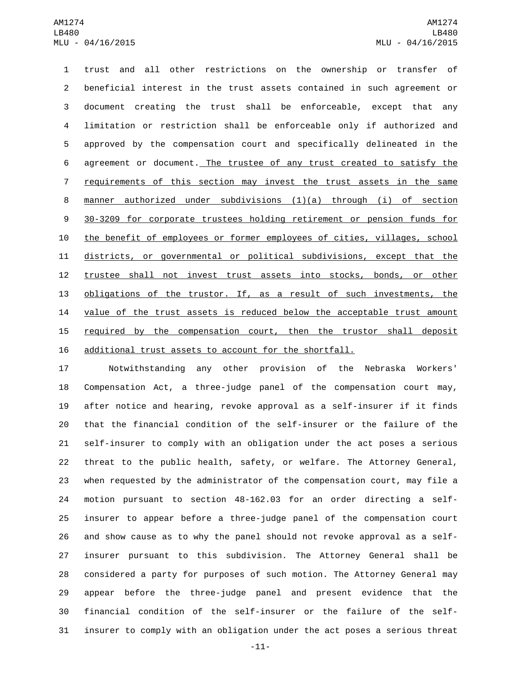trust and all other restrictions on the ownership or transfer of beneficial interest in the trust assets contained in such agreement or document creating the trust shall be enforceable, except that any limitation or restriction shall be enforceable only if authorized and approved by the compensation court and specifically delineated in the agreement or document. The trustee of any trust created to satisfy the requirements of this section may invest the trust assets in the same manner authorized under subdivisions (1)(a) through (i) of section 30-3209 for corporate trustees holding retirement or pension funds for the benefit of employees or former employees of cities, villages, school districts, or governmental or political subdivisions, except that the trustee shall not invest trust assets into stocks, bonds, or other obligations of the trustor. If, as a result of such investments, the value of the trust assets is reduced below the acceptable trust amount 15 required by the compensation court, then the trustor shall deposit additional trust assets to account for the shortfall.

 Notwithstanding any other provision of the Nebraska Workers' Compensation Act, a three-judge panel of the compensation court may, after notice and hearing, revoke approval as a self-insurer if it finds that the financial condition of the self-insurer or the failure of the self-insurer to comply with an obligation under the act poses a serious threat to the public health, safety, or welfare. The Attorney General, when requested by the administrator of the compensation court, may file a motion pursuant to section 48-162.03 for an order directing a self- insurer to appear before a three-judge panel of the compensation court and show cause as to why the panel should not revoke approval as a self- insurer pursuant to this subdivision. The Attorney General shall be considered a party for purposes of such motion. The Attorney General may appear before the three-judge panel and present evidence that the financial condition of the self-insurer or the failure of the self-insurer to comply with an obligation under the act poses a serious threat

-11-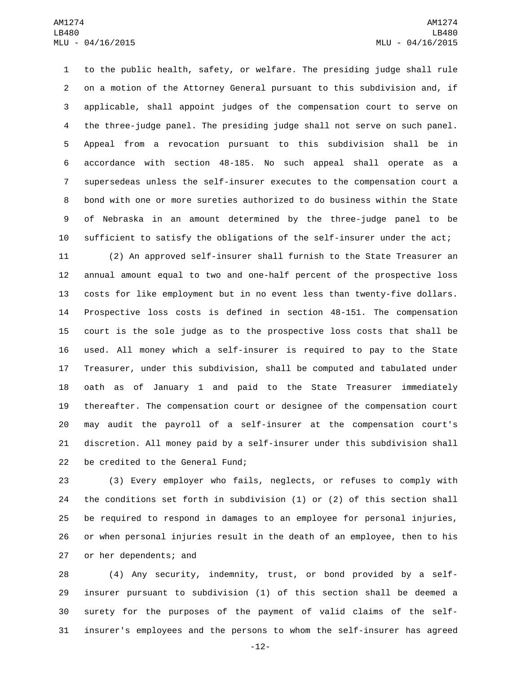to the public health, safety, or welfare. The presiding judge shall rule on a motion of the Attorney General pursuant to this subdivision and, if applicable, shall appoint judges of the compensation court to serve on the three-judge panel. The presiding judge shall not serve on such panel. Appeal from a revocation pursuant to this subdivision shall be in accordance with section 48-185. No such appeal shall operate as a supersedeas unless the self-insurer executes to the compensation court a bond with one or more sureties authorized to do business within the State of Nebraska in an amount determined by the three-judge panel to be sufficient to satisfy the obligations of the self-insurer under the act;

 (2) An approved self-insurer shall furnish to the State Treasurer an annual amount equal to two and one-half percent of the prospective loss costs for like employment but in no event less than twenty-five dollars. Prospective loss costs is defined in section 48-151. The compensation court is the sole judge as to the prospective loss costs that shall be used. All money which a self-insurer is required to pay to the State Treasurer, under this subdivision, shall be computed and tabulated under oath as of January 1 and paid to the State Treasurer immediately thereafter. The compensation court or designee of the compensation court may audit the payroll of a self-insurer at the compensation court's discretion. All money paid by a self-insurer under this subdivision shall 22 be credited to the General Fund;

 (3) Every employer who fails, neglects, or refuses to comply with the conditions set forth in subdivision (1) or (2) of this section shall be required to respond in damages to an employee for personal injuries, or when personal injuries result in the death of an employee, then to his 27 or her dependents; and

 (4) Any security, indemnity, trust, or bond provided by a self- insurer pursuant to subdivision (1) of this section shall be deemed a surety for the purposes of the payment of valid claims of the self-insurer's employees and the persons to whom the self-insurer has agreed

-12-